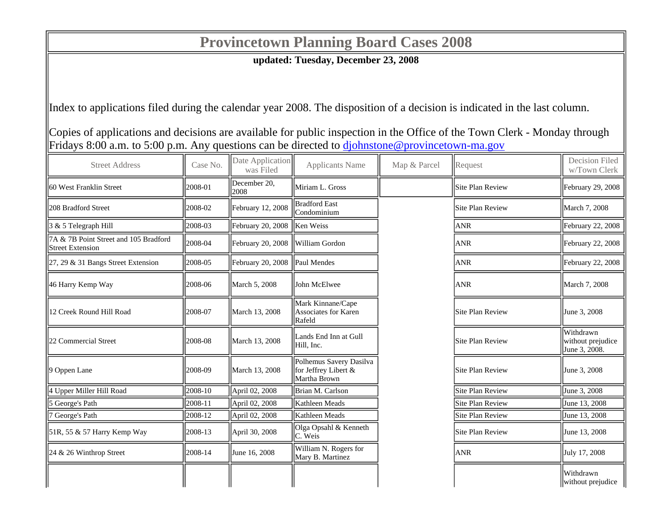## **Provincetown Planning Board Cases 2008**

**updated: Tuesday, December 23, 2008**

Index to applications filed during the calendar year 2008. The disposition of a decision is indicated in the last column.

Copies of applications and decisions are available for public inspection in the Office of the Town Clerk - Monday through Fridays 8:00 a.m. to 5:00 p.m. Any questions can be directed to  $\frac{d\phi}{d\phi}$  objects over  $\phi$  provincetown-ma.gov

| <b>Street Address</b>                                            | Case No.   | Date Application<br>was Filed    | <b>Applicants Name</b>                                          | Map & Parcel | Request          | <b>Decision Filed</b><br>w/Town Clerk           |
|------------------------------------------------------------------|------------|----------------------------------|-----------------------------------------------------------------|--------------|------------------|-------------------------------------------------|
| 60 West Franklin Street                                          | 2008-01    | December 20,<br>2008             | Miriam L. Gross                                                 |              | Site Plan Review | February 29, 2008                               |
| 208 Bradford Street                                              | 2008-02    | February 12, 2008                | <b>Bradford East</b><br>Condominium                             |              | Site Plan Review | March 7, 2008                                   |
| 3 & 5 Telegraph Hill                                             | 2008-03    | February 20, 2008  Ken Weiss     |                                                                 |              | <b>ANR</b>       | February 22, 2008                               |
| 7A & 7B Point Street and 105 Bradford<br><b>Street Extension</b> | 2008-04    | February 20, 2008 William Gordon |                                                                 |              | <b>ANR</b>       | February 22, 2008                               |
| 27, 29 & 31 Bangs Street Extension                               | 2008-05    | February 20, 2008   Paul Mendes  |                                                                 |              | <b>ANR</b>       | February 22, 2008                               |
| 46 Harry Kemp Way                                                | 2008-06    | March 5, 2008                    | <b>John McElwee</b>                                             |              | <b>ANR</b>       | March 7, 2008                                   |
| 12 Creek Round Hill Road                                         | 2008-07    | March 13, 2008                   | Mark Kinnane/Cape<br>Associates for Karen<br>Rafeld             |              | Site Plan Review | June 3, 2008                                    |
| 22 Commercial Street                                             | 2008-08    | March 13, 2008                   | Lands End Inn at Gull<br>Hill, Inc.                             |              | Site Plan Review | Withdrawn<br>without prejudice<br>June 3, 2008. |
| 9 Oppen Lane                                                     | 2008-09    | March 13, 2008                   | Polhemus Savery Dasilva<br>for Jeffrey Libert &<br>Martha Brown |              | Site Plan Review | June 3, 2008                                    |
| 4 Upper Miller Hill Road                                         | 2008-10    | April 02, 2008                   | Brian M. Carlson                                                |              | Site Plan Review | June 3, 2008                                    |
| 5 George's Path                                                  | 2008-11    | April 02, 2008                   | Kathleen Meads                                                  |              | Site Plan Review | June 13, 2008                                   |
| 7 George's Path                                                  | 2008-12    | April 02, 2008                   | Kathleen Meads                                                  |              | Site Plan Review | June 13, 2008                                   |
| 51R, 55 & 57 Harry Kemp Way                                      | $ 2008-13$ | April 30, 2008                   | Olga Opsahl & Kenneth<br>C. Weis                                |              | Site Plan Review | June 13, 2008                                   |
| 24 & 26 Winthrop Street                                          | $ 2008-14$ | June 16, 2008                    | William N. Rogers for<br>Mary B. Martinez                       |              | <b>ANR</b>       | July 17, 2008                                   |
|                                                                  |            |                                  |                                                                 |              |                  | Withdrawn<br>without prejudice                  |